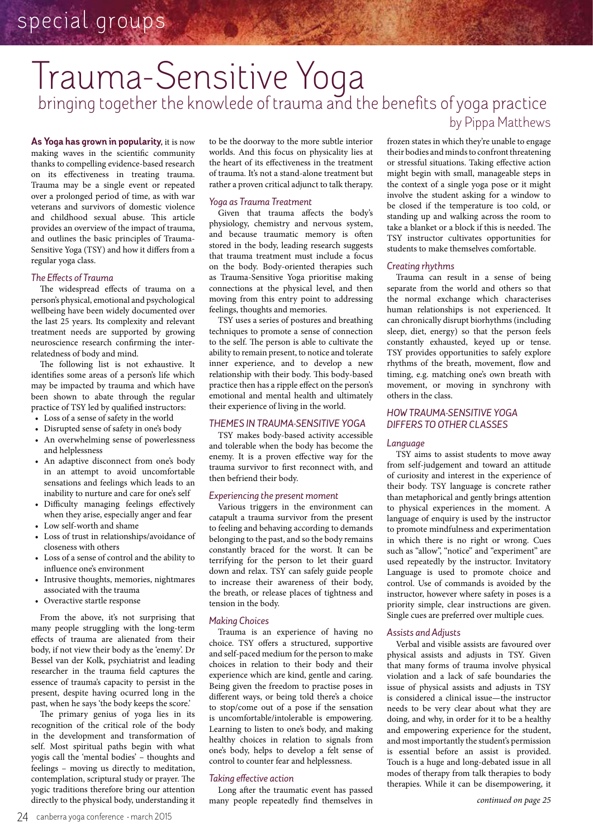## by Pippa Matthews bringing together the knowlede of trauma and the benefits of yoga practice Trauma-Sensitive Yoga

As Yoga has grown in popularity, it is now making waves in the scientific community thanks to compelling evidence-based research on its effectiveness in treating trauma. Trauma may be a single event or repeated over a prolonged period of time, as with war veterans and survivors of domestic violence and childhood sexual abuse. This article provides an overview of the impact of trauma, and outlines the basic principles of Trauma-Sensitive Yoga (TSY) and how it differs from a regular yoga class.

## *The Effects of Trauma*

The widespread effects of trauma on a person's physical, emotional and psychological wellbeing have been widely documented over the last 25 years. Its complexity and relevant treatment needs are supported by growing neuroscience research confirming the interrelatedness of body and mind.

The following list is not exhaustive. It identifies some areas of a person's life which may be impacted by trauma and which have been shown to abate through the regular practice of TSY led by qualified instructors:

- • Loss of a sense of safety in the world
- • Disrupted sense of safety in one's body
- • An overwhelming sense of powerlessness and helplessness
- An adaptive disconnect from one's body in an attempt to avoid uncomfortable sensations and feelings which leads to an inability to nurture and care for one's self
- • Difficulty managing feelings effectively when they arise, especially anger and fear
- • Low self-worth and shame
- • Loss of trust in relationships/avoidance of closeness with others
- Loss of a sense of control and the ability to influence one's environment
- Intrusive thoughts, memories, nightmares associated with the trauma
- • Overactive startle response

From the above, it's not surprising that many people struggling with the long-term effects of trauma are alienated from their body, if not view their body as the 'enemy'. Dr Bessel van der Kolk, psychiatrist and leading researcher in the trauma field captures the essence of trauma's capacity to persist in the present, despite having ocurred long in the past, when he says 'the body keeps the score.'

The primary genius of yoga lies in its recognition of the critical role of the body in the development and transformation of self. Most spiritual paths begin with what yogis call the 'mental bodies' – thoughts and feelings – moving us directly to meditation, contemplation, scriptural study or prayer. The yogic traditions therefore bring our attention directly to the physical body, understanding it

to be the doorway to the more subtle interior worlds. And this focus on physicality lies at the heart of its effectiveness in the treatment of trauma. It's not a stand-alone treatment but rather a proven critical adjunct to talk therapy.

## *Yoga as Trauma Treatment*

Given that trauma affects the body's physiology, chemistry and nervous system, and because traumatic memory is often stored in the body, leading research suggests that trauma treatment must include a focus on the body. Body-oriented therapies such as Trauma-Sensitive Yoga prioritise making connections at the physical level, and then moving from this entry point to addressing feelings, thoughts and memories.

TSY uses a series of postures and breathing techniques to promote a sense of connection to the self. The person is able to cultivate the ability to remain present, to notice and tolerate inner experience, and to develop a new relationship with their body. This body-based practice then has a ripple effect on the person's emotional and mental health and ultimately their experience of living in the world.

## *Themes In Trauma-Sensitive Yoga*

TSY makes body-based activity accessible and tolerable when the body has become the enemy. It is a proven effective way for the trauma survivor to first reconnect with, and then befriend their body.

## *Experiencing the present moment*

Various triggers in the environment can catapult a trauma survivor from the present to feeling and behaving according to demands belonging to the past, and so the body remains constantly braced for the worst. It can be terrifying for the person to let their guard down and relax. TSY can safely guide people to increase their awareness of their body, the breath, or release places of tightness and tension in the body.

## *Making Choices*

Trauma is an experience of having no choice. TSY offers a structured, supportive and self-paced medium for the person to make choices in relation to their body and their experience which are kind, gentle and caring. Being given the freedom to practise poses in different ways, or being told there's a choice to stop/come out of a pose if the sensation is uncomfortable/intolerable is empowering. Learning to listen to one's body, and making healthy choices in relation to signals from one's body, helps to develop a felt sense of control to counter fear and helplessness.

## *Taking effective action*

Long after the traumatic event has passed many people repeatedly find themselves in frozen states in which they're unable to engage their bodies and minds to confront threatening

or stressful situations. Taking effective action might begin with small, manageable steps in the context of a single yoga pose or it might involve the student asking for a window to be closed if the temperature is too cold, or standing up and walking across the room to take a blanket or a block if this is needed. The TSY instructor cultivates opportunities for students to make themselves comfortable.

## *Creating rhythms*

Trauma can result in a sense of being separate from the world and others so that the normal exchange which characterises human relationships is not experienced. It can chronically disrupt biorhythms (including sleep, diet, energy) so that the person feels constantly exhausted, keyed up or tense. TSY provides opportunities to safely explore rhythms of the breath, movement, flow and timing, e.g. matching one's own breath with movement, or moving in synchrony with others in the class.

## *How Trauma-Sensitive Yoga Differs To Other Classes*

## *Language*

TSY aims to assist students to move away from self-judgement and toward an attitude of curiosity and interest in the experience of their body. TSY language is concrete rather than metaphorical and gently brings attention to physical experiences in the moment. A language of enquiry is used by the instructor to promote mindfulness and experimentation in which there is no right or wrong. Cues such as "allow", "notice" and "experiment" are used repeatedly by the instructor. Invitatory Language is used to promote choice and control. Use of commands is avoided by the instructor, however where safety in poses is a priority simple, clear instructions are given. Single cues are preferred over multiple cues.

## *Assists and Adjusts*

Verbal and visible assists are favoured over physical assists and adjusts in TSY. Given that many forms of trauma involve physical violation and a lack of safe boundaries the issue of physical assists and adjusts in TSY is considered a clinical issue—the instructor needs to be very clear about what they are doing, and why, in order for it to be a healthy and empowering experience for the student, and most importantly the student's permission is essential before an assist is provided. Touch is a huge and long-debated issue in all modes of therapy from talk therapies to body therapies. While it can be disempowering, it